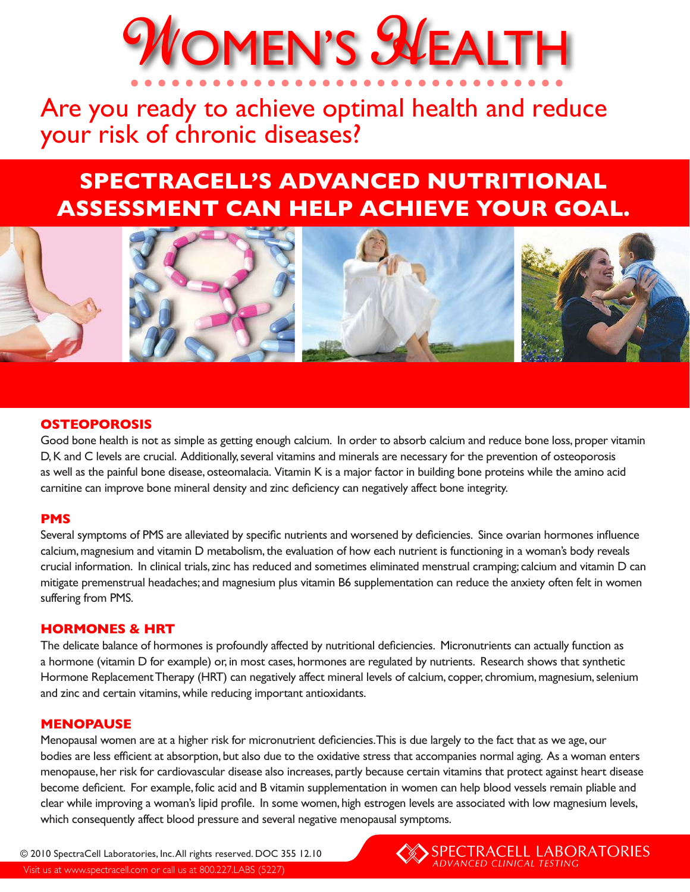# WOMEN'S SVEALTH

# Are you ready to achieve optimal health and reduce your risk of chronic diseases?

# **SPECTRACELL'S ADVANCED NUTRITIONAL ASSESSMENT CAN HELP ACHIEVE YOUR GOAL.**



## **OSTEOPOROSIS**

Good bone health is not as simple as getting enough calcium. In order to absorb calcium and reduce bone loss, proper vitamin D, K and C levels are crucial. Additionally, several vitamins and minerals are necessary for the prevention of osteoporosis as well as the painful bone disease, osteomalacia. Vitamin K is a major factor in building bone proteins while the amino acid carnitine can improve bone mineral density and zinc deficiency can negatively affect bone integrity.

#### **PMS**

Several symptoms of PMS are alleviated by specific nutrients and worsened by deficiencies. Since ovarian hormones influence calcium, magnesium and vitamin D metabolism, the evaluation of how each nutrient is functioning in a woman's body reveals crucial information. In clinical trials, zinc has reduced and sometimes eliminated menstrual cramping; calcium and vitamin D can mitigate premenstrual headaches; and magnesium plus vitamin B6 supplementation can reduce the anxiety often felt in women suffering from PMS.

#### **HORMONES & HRT**

The delicate balance of hormones is profoundly affected by nutritional deficiencies. Micronutrients can actually function as a hormone (vitamin D for example) or, in most cases, hormones are regulated by nutrients. Research shows that synthetic Hormone Replacement Therapy (HRT) can negatively affect mineral levels of calcium, copper, chromium, magnesium, selenium and zinc and certain vitamins, while reducing important antioxidants.

#### **MENOPAUSE**

Menopausal women are at a higher risk for micronutrient deficiencies. This is due largely to the fact that as we age, our bodies are less efficient at absorption, but also due to the oxidative stress that accompanies normal aging. As a woman enters menopause, her risk for cardiovascular disease also increases, partly because certain vitamins that protect against heart disease become deficient. For example, folic acid and B vitamin supplementation in women can help blood vessels remain pliable and clear while improving a woman's lipid profile. In some women, high estrogen levels are associated with low magnesium levels, which consequently affect blood pressure and several negative menopausal symptoms.

© 2010 SpectraCell Laboratories, Inc. All rights reserved. DOC 355 12.10 Visit us at www.spectracell.com or call us at 800.227.LABS (5227)